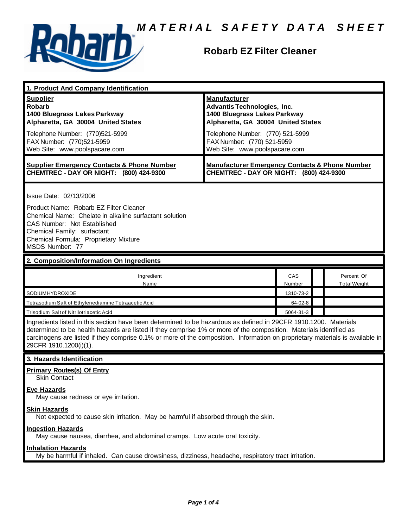

## **Robarb EZ Filter Cleaner**

| 1. Product And Company Identification                                                                                                                                                                                                                                                                                                                                                             |                                                                                                                                                                                                                                    |               |                                   |  |
|---------------------------------------------------------------------------------------------------------------------------------------------------------------------------------------------------------------------------------------------------------------------------------------------------------------------------------------------------------------------------------------------------|------------------------------------------------------------------------------------------------------------------------------------------------------------------------------------------------------------------------------------|---------------|-----------------------------------|--|
| <b>Supplier</b><br>Robarb<br>1400 Bluegrass Lakes Parkway<br>Alpharetta, GA 30004 United States<br>Telephone Number: (770)521-5999<br>FAX Number: (770)521-5959<br>Web Site: www.poolspacare.com                                                                                                                                                                                                  | <b>Manufacturer</b><br><b>Advantis Technologies, Inc.</b><br>1400 Bluegrass Lakes Parkway<br>Alpharetta, GA 30004 United States<br>Telephone Number: (770) 521-5999<br>FAX Number: (770) 521-5959<br>Web Site: www.poolspacare.com |               |                                   |  |
| <b>Supplier Emergency Contacts &amp; Phone Number</b><br>CHEMTREC - DAY OR NIGHT: (800) 424-9300                                                                                                                                                                                                                                                                                                  | <b>Manufacturer Emergency Contacts &amp; Phone Number</b><br>CHEMTREC - DAY OR NIGHT: (800) 424-9300                                                                                                                               |               |                                   |  |
| Issue Date: 02/13/2006<br>Product Name: Robarb EZ Filter Cleaner<br>Chemical Name: Chelate in alkaline surfactant solution<br>CAS Number: Not Established<br>Chemical Family: surfactant<br>Chemical Formula: Proprietary Mixture<br>MSDS Number: 77                                                                                                                                              |                                                                                                                                                                                                                                    |               |                                   |  |
| 2. Composition/Information On Ingredients                                                                                                                                                                                                                                                                                                                                                         |                                                                                                                                                                                                                                    |               |                                   |  |
| Ingredient<br>Name                                                                                                                                                                                                                                                                                                                                                                                |                                                                                                                                                                                                                                    | CAS<br>Number | Percent Of<br><b>Total Weight</b> |  |
| SODIUMHYDROXIDE                                                                                                                                                                                                                                                                                                                                                                                   |                                                                                                                                                                                                                                    | 1310-73-2     |                                   |  |
| Tetrasodium Salt of Ethylenediamine Tetraacetic Acid                                                                                                                                                                                                                                                                                                                                              |                                                                                                                                                                                                                                    | 64-02-8       |                                   |  |
| Trisodium Salt of Nitrilotriacetic Acid                                                                                                                                                                                                                                                                                                                                                           |                                                                                                                                                                                                                                    | 5064-31-3     |                                   |  |
| Ingredients listed in this section have been determined to be hazardous as defined in 29CFR 1910.1200. Materials<br>determined to be health hazards are listed if they comprise 1% or more of the composition. Materials identified as<br>carcinogens are listed if they comprise 0.1% or more of the composition. Information on proprietary materials is available in<br>29CFR 1910.1200(i)(1). |                                                                                                                                                                                                                                    |               |                                   |  |
| 3. Hazards Identification                                                                                                                                                                                                                                                                                                                                                                         |                                                                                                                                                                                                                                    |               |                                   |  |
| <b>Primary Routes(s) Of Entry</b><br><b>Skin Contact</b>                                                                                                                                                                                                                                                                                                                                          |                                                                                                                                                                                                                                    |               |                                   |  |
| <b>Eye Hazards</b><br>May cause redness or eye irritation.                                                                                                                                                                                                                                                                                                                                        |                                                                                                                                                                                                                                    |               |                                   |  |
| <b>Skin Hazards</b><br>Not expected to cause skin irritation. May be harmful if absorbed through the skin.                                                                                                                                                                                                                                                                                        |                                                                                                                                                                                                                                    |               |                                   |  |
| <b>Ingestion Hazards</b><br>May cause nausea, diarrhea, and abdominal cramps. Low acute oral toxicity.                                                                                                                                                                                                                                                                                            |                                                                                                                                                                                                                                    |               |                                   |  |
| <b>Inhalation Hazards</b><br>My be harmful if inhaled. Can cause drowsiness, dizziness, headache, respiratory tract irritation.                                                                                                                                                                                                                                                                   |                                                                                                                                                                                                                                    |               |                                   |  |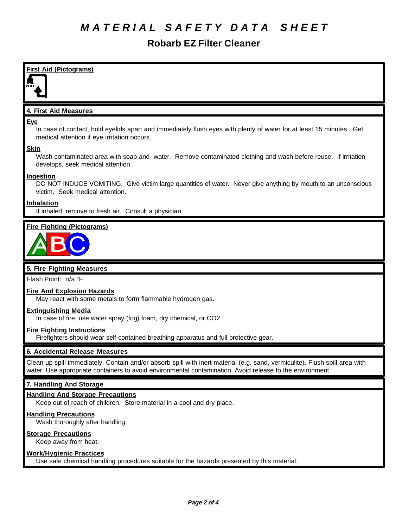# **Robarb EZ Filter Cleaner**

**First Aid (Pictograms) 4. First Aid Measures Eye** In case of contact, hold eyelids apart and immediately flush eyes with plenty of water for at least 15 minutes. Get medical attention if eye irritation occurs. **Skin** Wash contaminated area with soap and water. Remove contaminated clothing and wash before reuse. If irritation develops, seek medical attention. **Ingestion** DO NOT INDUCE VOMITING. Give victim large quantities of water. Never give anything by mouth to an unconscious victim. Seek medical attention.

### **Inhalation**

If inhaled, remove to fresh air. Consult a physician.

## **Fire Fighting (Pictograms)**



## **5. Fire Fighting Measures**

Flash Point: n/a °F

#### **Fire And Explosion Hazards**

May react with some metals to form flammable hydrogen gas.

#### **Extinguishing Media**

In case of fire, use water spray (fog) foam, dry chemical, or CO2.

#### **Fire Fighting Instructions**

Firefighters should wear self-contained breathing apparatus and full protective gear.

#### **6. Accidental Release Measures**

Clean up spill immediately. Contain and/or absorb spill with inert material (e.g. sand, vermiculite). Flush spill area with water. Use appropriate containers to avoid environmental contamination. Avoid release to the environment.

## **7. Handling And Storage**

### **Handling And Storage Precautions**

Keep out of reach of children. Store material in a cool and dry place.

#### **Handling Precautions**

Wash thoroughly after handling.

#### **Storage Precautions**

Keep away from heat.

## **Work/Hygienic Practices**

Use safe chemical handling procedures suitable for the hazards presented by this material.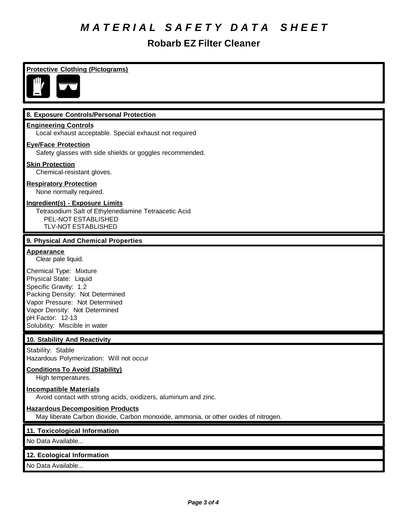# **Robarb EZ Filter Cleaner**

| <b>Protective Clothing (Pictograms)</b>                                                                                                                                                                                              |
|--------------------------------------------------------------------------------------------------------------------------------------------------------------------------------------------------------------------------------------|
| 8. Exposure Controls/Personal Protection                                                                                                                                                                                             |
| <b>Engineering Controls</b><br>Local exhaust acceptable. Special exhaust not required                                                                                                                                                |
| <b>Eye/Face Protection</b><br>Safety glasses with side shields or goggles recommended.                                                                                                                                               |
| <b>Skin Protection</b><br>Chemical-resistant gloves.                                                                                                                                                                                 |
| <b>Respiratory Protection</b><br>None normally required.                                                                                                                                                                             |
| Ingredient(s) - Exposure Limits<br>Tetrasodium Salt of Ethylenediamine Tetraacetic Acid<br>PEL-NOT ESTABLISHED<br><b>TLV-NOT ESTABLISHED</b>                                                                                         |
| 9. Physical And Chemical Properties                                                                                                                                                                                                  |
| <b>Appearance</b><br>Clear pale liquid.                                                                                                                                                                                              |
| Chemical Type: Mixture<br>Physical State: Liquid<br>Specific Gravity: 1.2<br>Packing Density: Not Determined<br>Vapor Pressure: Not Determined<br>Vapor Density: Not Determined<br>pH Factor: 12-13<br>Solubility: Miscible in water |
| 10. Stability And Reactivity                                                                                                                                                                                                         |
| Stability: Stable<br>Hazardous Polymerization: Will not occur                                                                                                                                                                        |
| <b>Conditions To Avoid (Stability)</b><br>High temperatures.                                                                                                                                                                         |
| <b>Incompatible Materials</b><br>Avoid contact with strong acids, oxidizers, aluminum and zinc.                                                                                                                                      |
| <b>Hazardous Decomposition Products</b><br>May liberate Carbon dioxide, Carbon monoxide, ammonia, or other oxides of nitrogen.                                                                                                       |
| 11. Toxicological Information                                                                                                                                                                                                        |
| No Data Available                                                                                                                                                                                                                    |
| 12. Ecological Information                                                                                                                                                                                                           |
| No Data Available                                                                                                                                                                                                                    |